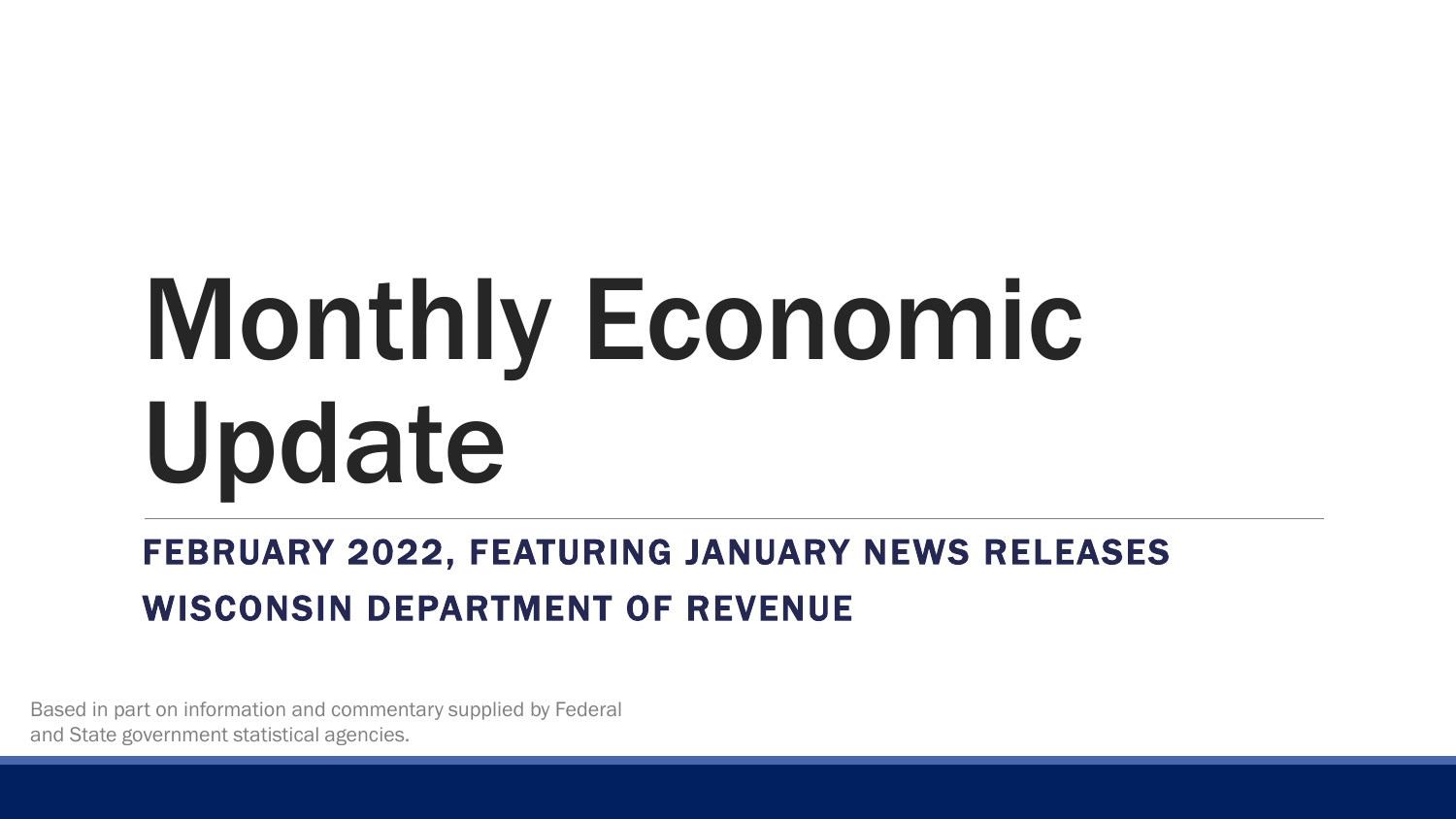# Monthly Economic Update

#### FEBRUARY 2022, FEATURING JANUARY NEWS RELEASES WISCONSIN DEPARTMENT OF REVENUE

Based in part on information and commentary supplied by Federal and State government statistical agencies.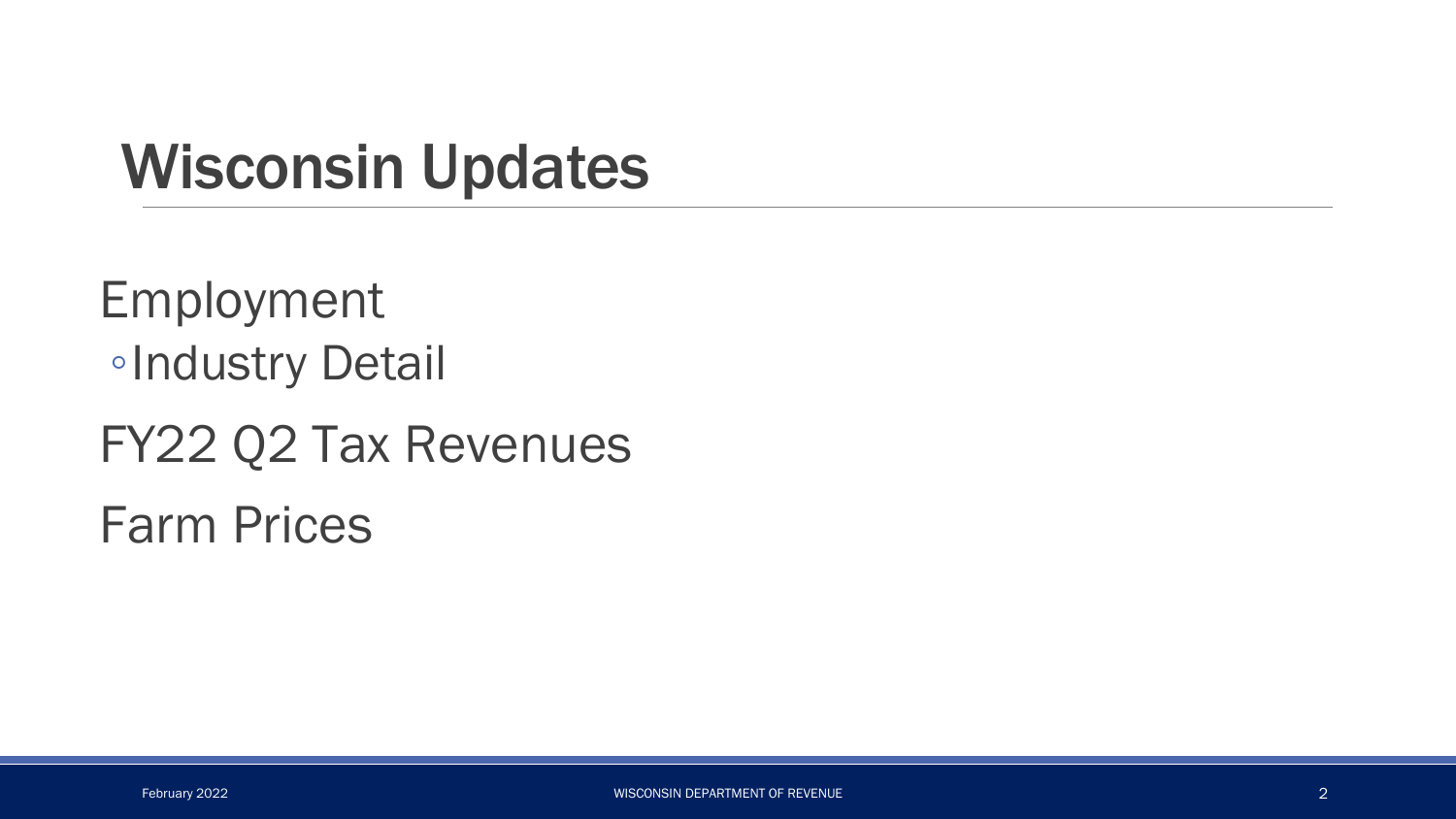#### Wisconsin Updates

Employment ◦Industry Detail FY22 Q2 Tax Revenues Farm Prices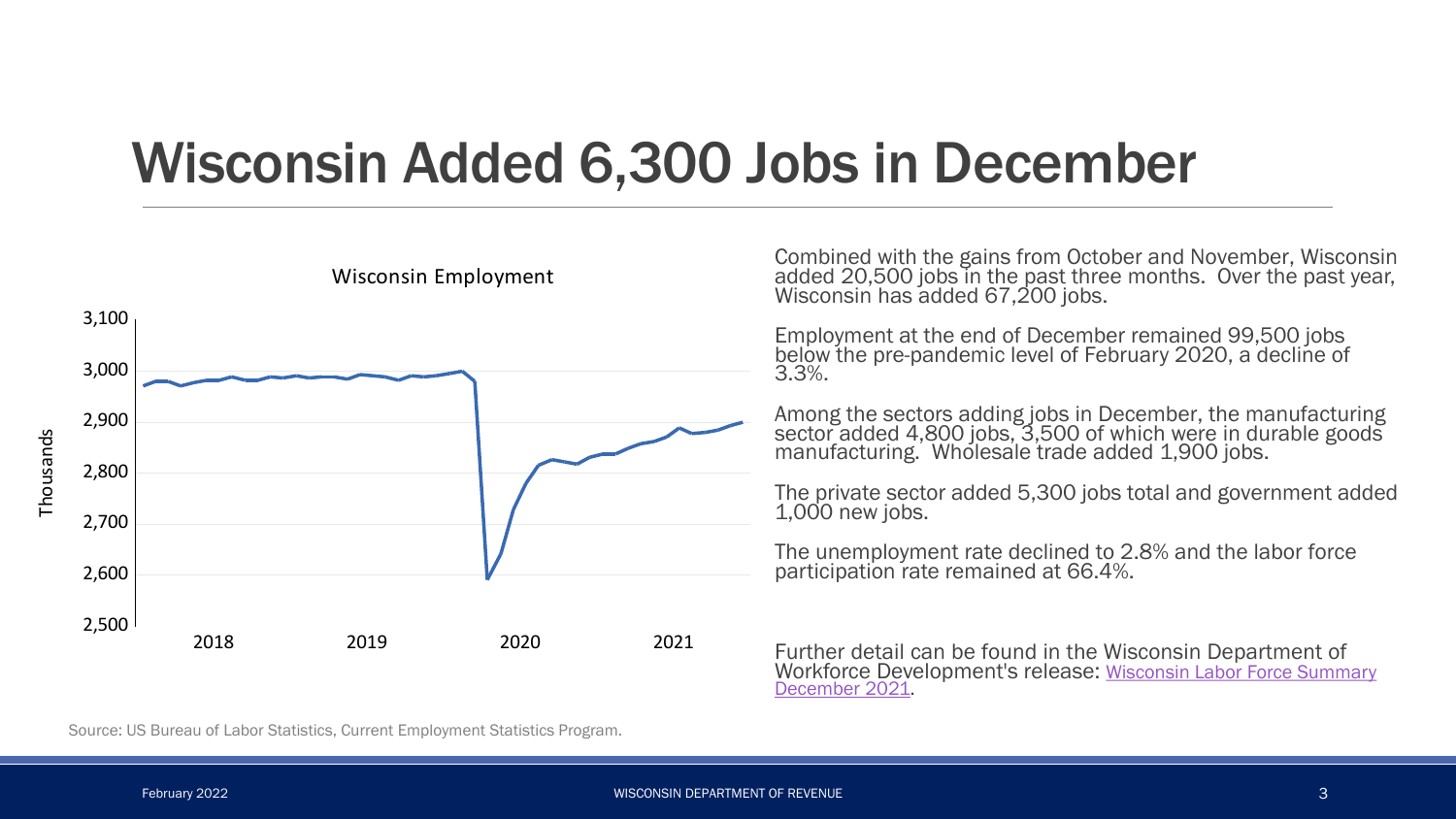#### Wisconsin Added 6,300 Jobs in December



Combined with the gains from October and November, Wisconsin added 20,500 jobs in the past three months. Over the past year, Wisconsin has added 67,200 jobs.

Employment at the end of December remained 99,500 jobs below the pre-pandemic level of February 2020, a decline of<br>3.3%.

Among the sectors adding jobs in December, the manufacturing sector added 4,800 jobs, 3,500 of which were in durable goods manufacturing. Wholesale trade added 1,900 jobs.

The private sector added 5,300 jobs total and government added 1,000 new jobs.

The unemployment rate declined to 2.8% and the labor force participation rate remained at 66.4%.

Further detail can be found in the Wisconsin Department of [Workforce Development's release: Wisconsin Labor Force Summary](https://dwd.wisconsin.gov/press/unemployment/2022/220120-december-state.pdf)  December 2021.

Source: US Bureau of Labor Statistics, Current Employment Statistics Program.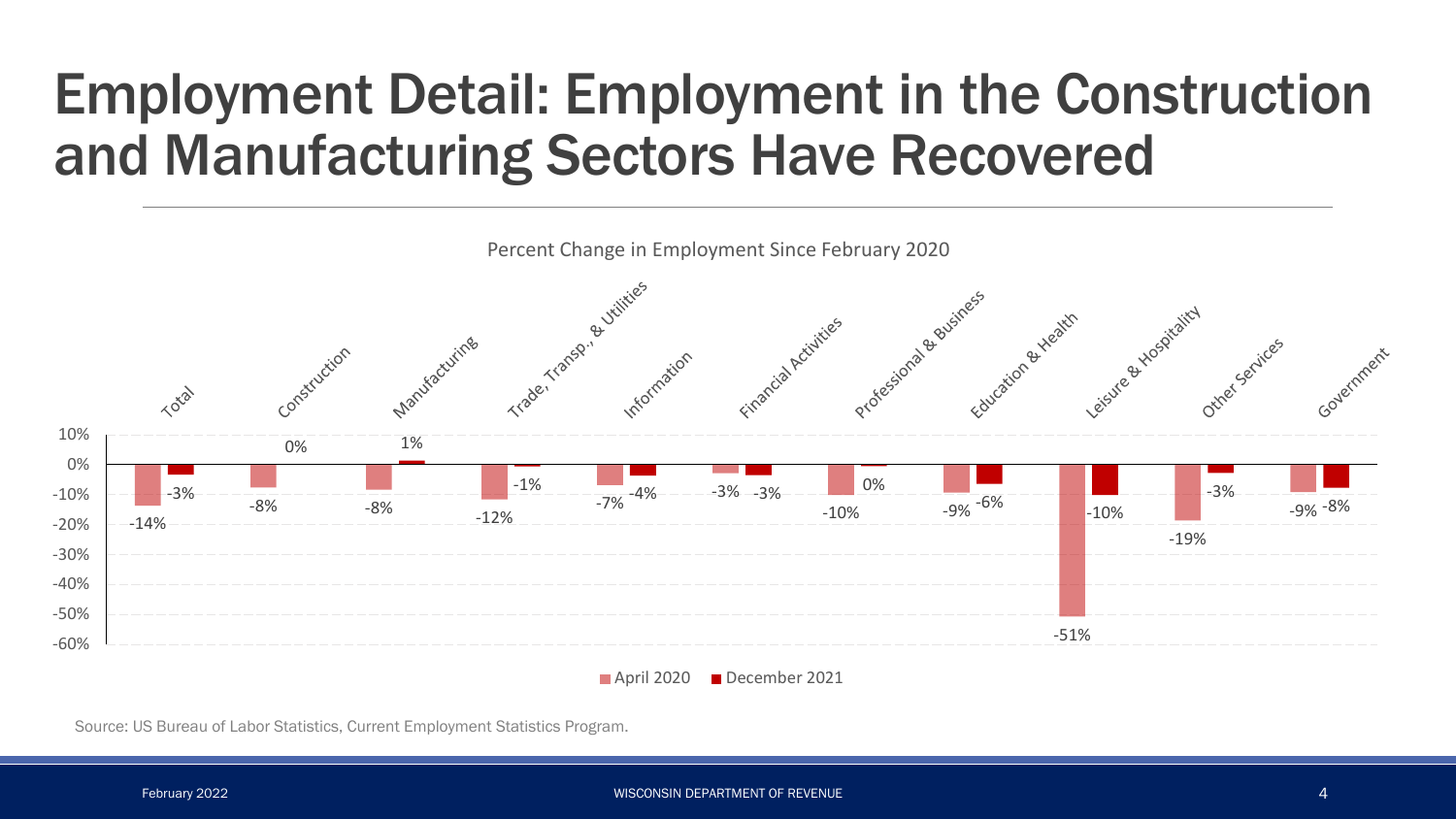#### Employment Detail: Employment in the Construction and Manufacturing Sectors Have Recovered



Source: US Bureau of Labor Statistics, Current Employment Statistics Program.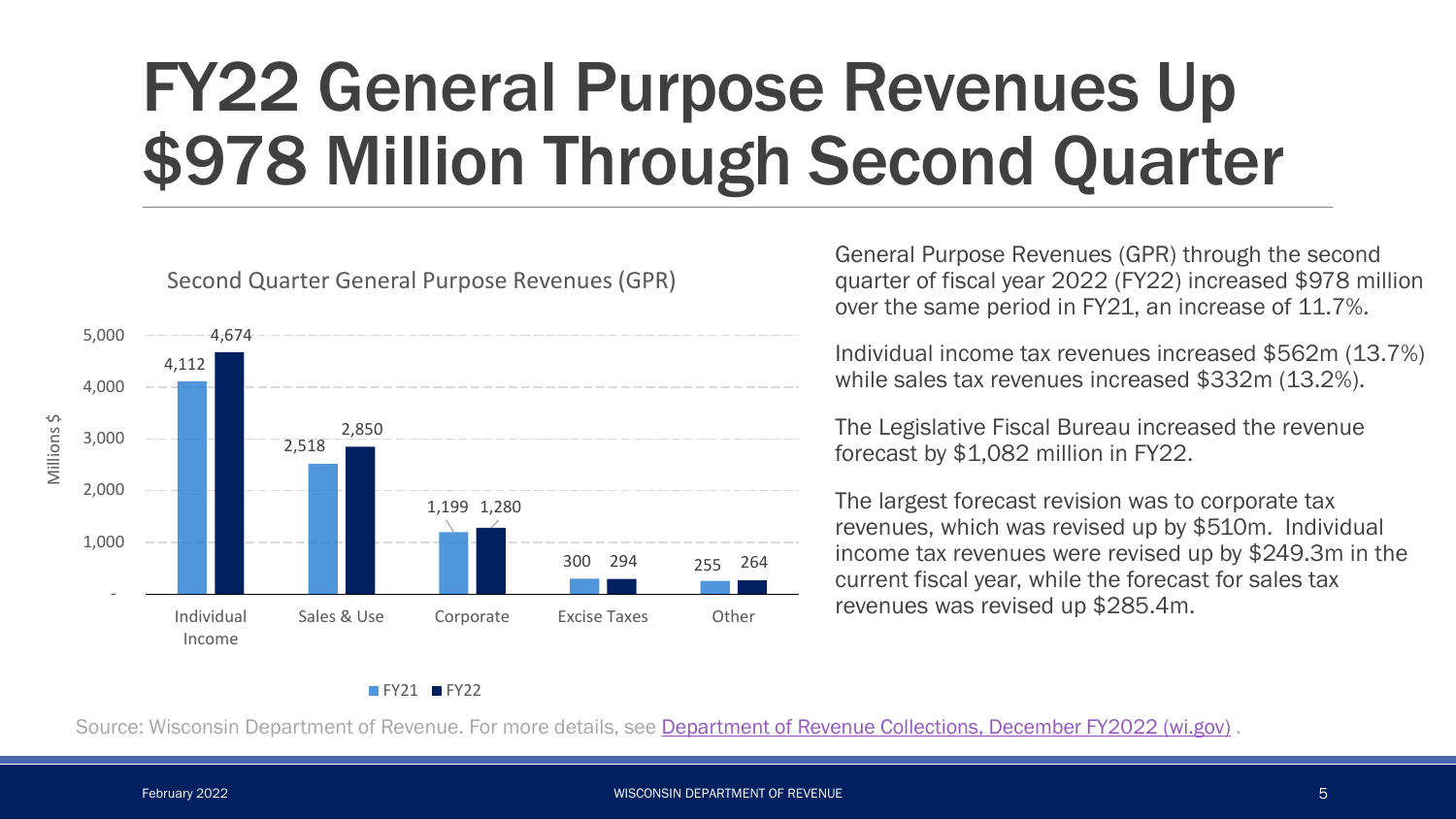# FY22 General Purpose Revenues Up \$978 Million Through Second Quarter



Second Quarter General Purpose Revenues (GPR)

General Purpose Revenues (GPR) through the second quarter of fiscal year 2022 (FY22) increased \$978 million over the same period in FY21, an increase of 11.7%.

Individual income tax revenues increased \$562m (13.7%) while sales tax revenues increased \$332m (13.2%).

The Legislative Fiscal Bureau increased the revenue forecast by \$1,082 million in FY22.

The largest forecast revision was to corporate tax revenues, which was revised up by \$510m. Individual income tax revenues were revised up by \$249.3m in the current fiscal year, while the forecast for sales tax revenues was revised up \$285.4m.

#### $FY21$  FY22

Source: Wisconsin Department of Revenue. For more details, see [Department of Revenue Collections, December FY2022 \(wi.gov\)](https://www.revenue.wi.gov/Pages/News/2022/DecemberFY2022Collections.pdf) .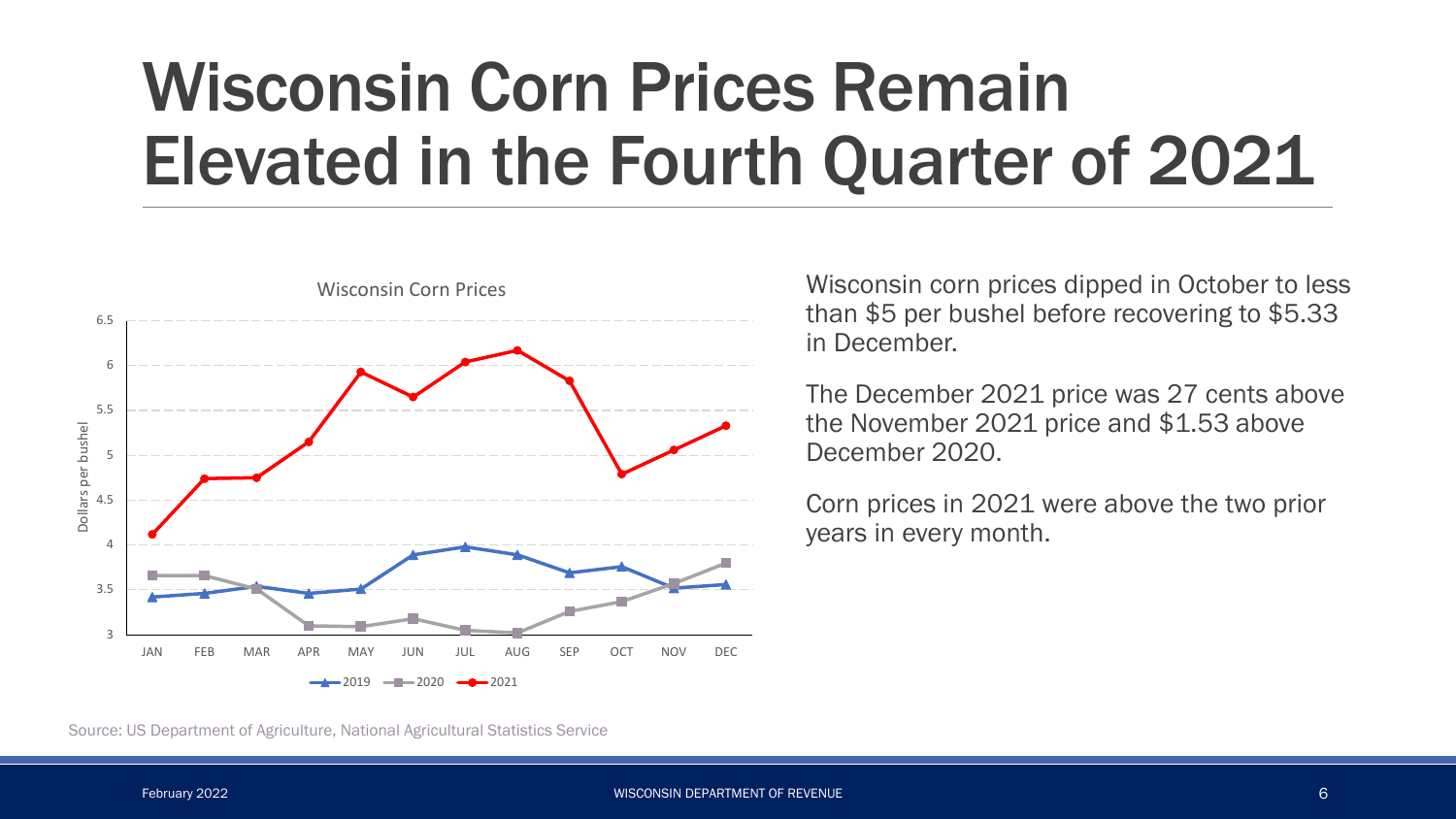# Wisconsin Corn Prices Remain Elevated in the Fourth Quarter of 2021



Wisconsin corn prices dipped in October to less than \$5 per bushel before recovering to \$5.33 in December.

The December 2021 price was 27 cents above the November 2021 price and \$1.53 above December 2020.

Corn prices in 2021 were above the two prior years in every month.

Source: US Department of Agriculture, National Agricultural Statistics Service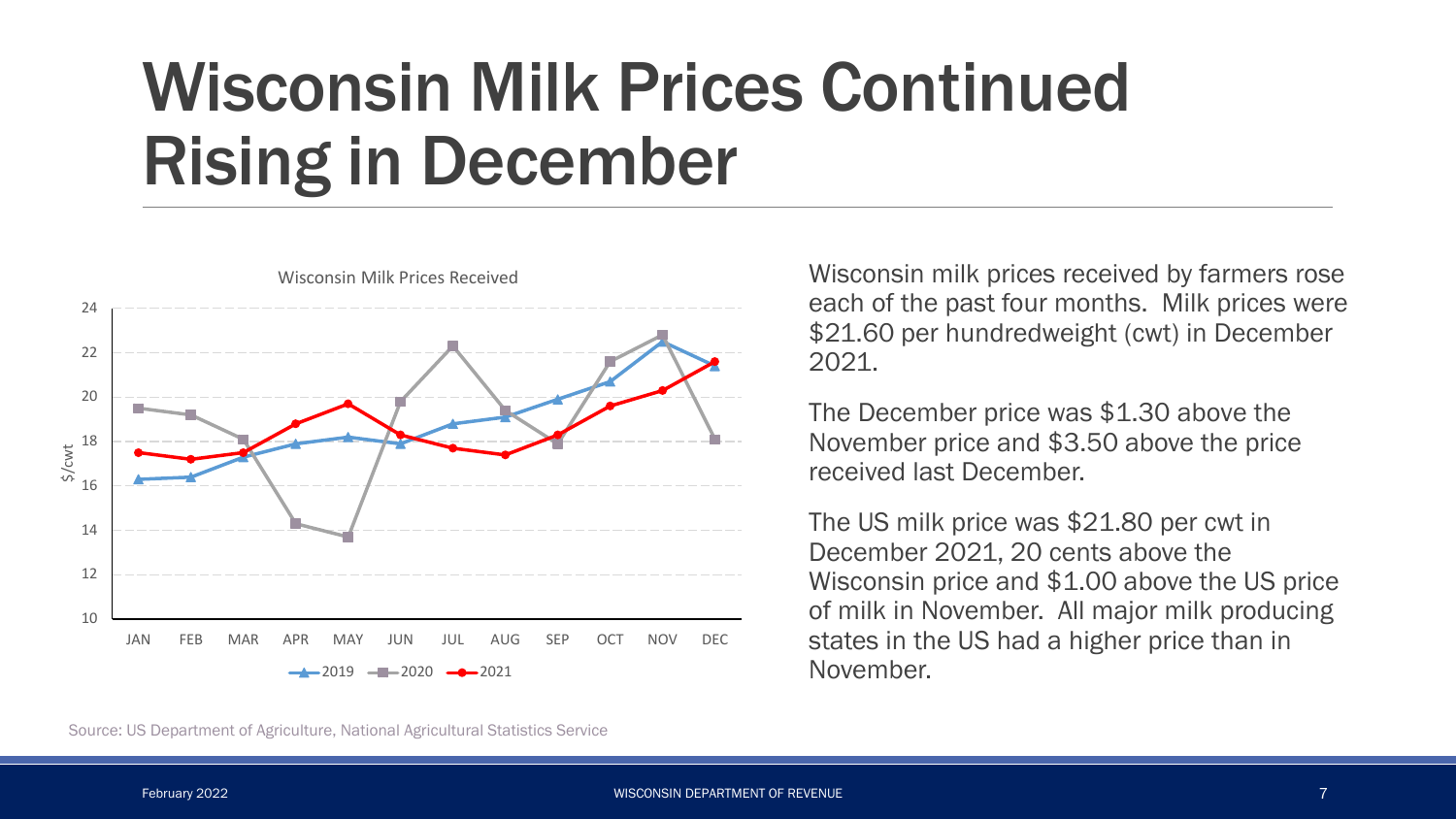# Wisconsin Milk Prices Continued Rising in December



Wisconsin Milk Prices Received

Wisconsin milk prices received by farmers rose each of the past four months. Milk prices were \$21.60 per hundredweight (cwt) in December 2021.

The December price was \$1.30 above the November price and \$3.50 above the price received last December.

The US milk price was \$21.80 per cwt in December 2021, 20 cents above the Wisconsin price and \$1.00 above the US price of milk in November. All major milk producing states in the US had a higher price than in November.

Source: US Department of Agriculture, National Agricultural Statistics Service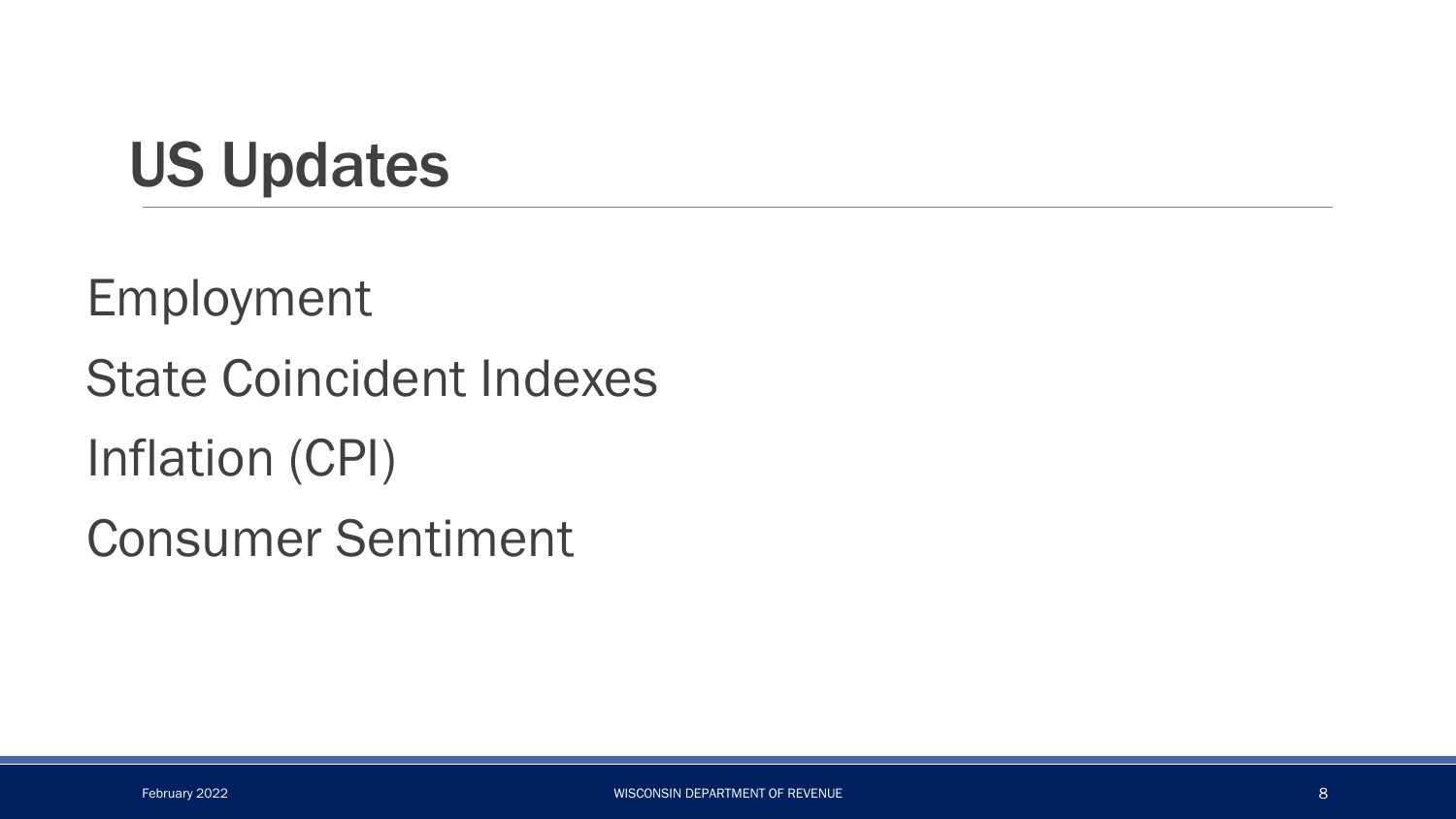## US Updates

Employment

State Coincident Indexes

Inflation (CPI)

Consumer Sentiment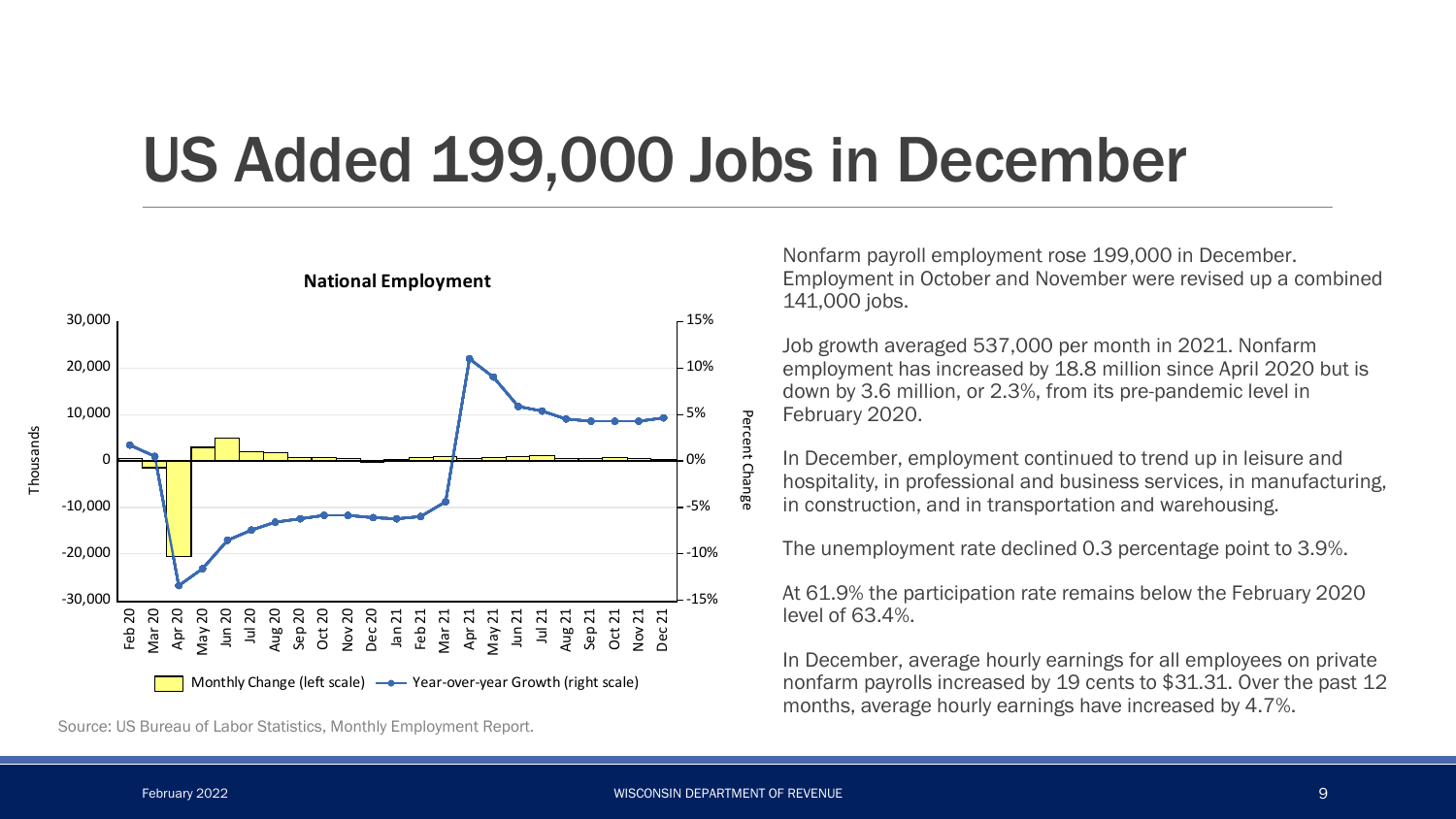#### US Added 199,000 Jobs in December



**National Employment**

Source: US Bureau of Labor Statistics, Monthly Employment Report.

Nonfarm payroll employment rose 199,000 in December. Employment in October and November were revised up a combined 141,000 jobs.

Job growth averaged 537,000 per month in 2021. Nonfarm employment has increased by 18.8 million since April 2020 but is down by 3.6 million, or 2.3%, from its pre-pandemic level in February 2020.

In December, employment continued to trend up in leisure and hospitality, in professional and business services, in manufacturing, in construction, and in transportation and warehousing.

The unemployment rate declined 0.3 percentage point to 3.9%.

At 61.9% the participation rate remains below the February 2020 level of 63.4%.

In December, average hourly earnings for all employees on private nonfarm payrolls increased by 19 cents to \$31.31. Over the past 12 months, average hourly earnings have increased by 4.7%.

Percent

Change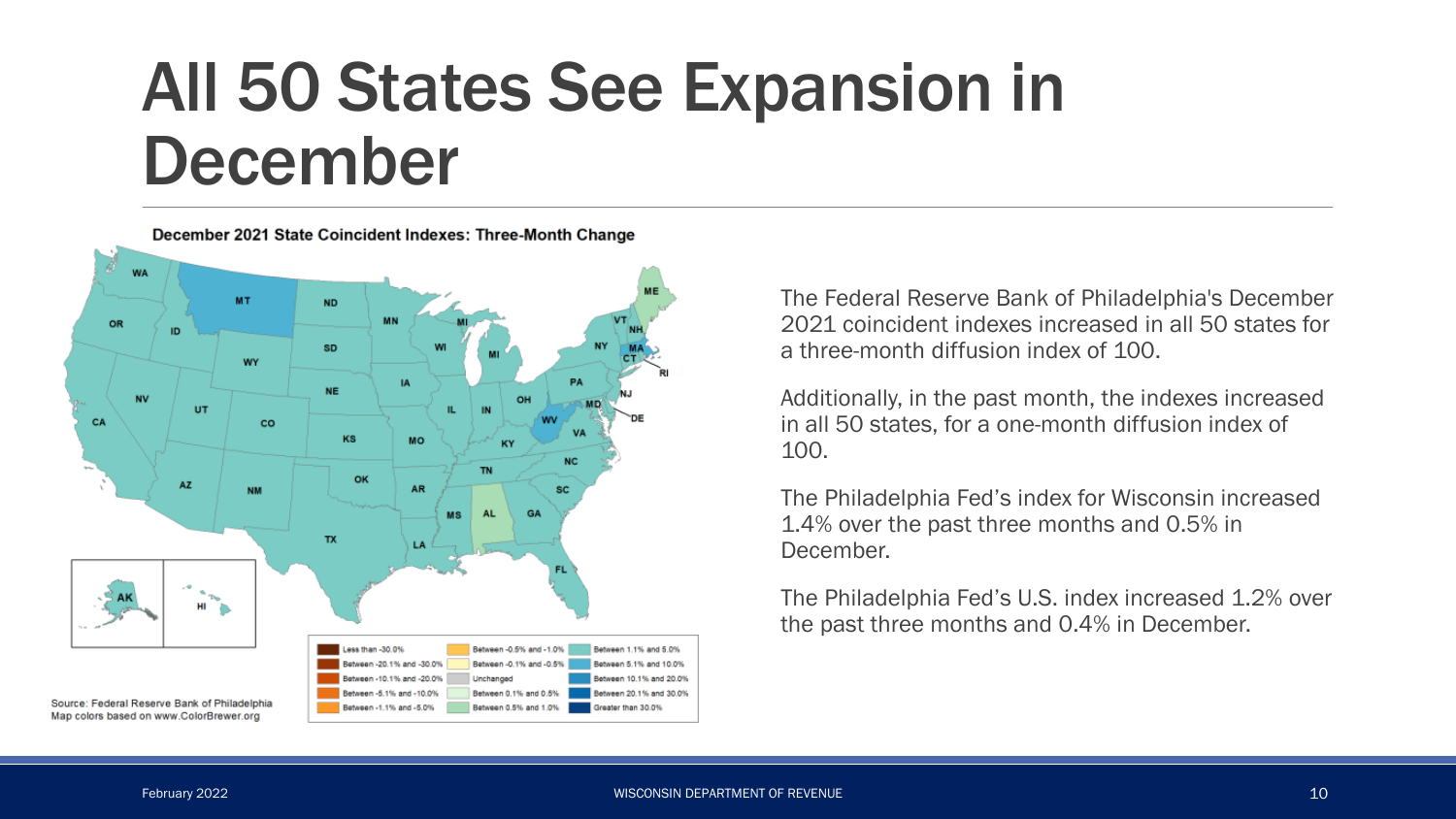# All 50 States See Expansion in December



The Federal Reserve Bank of Philadelphia's December 2021 coincident indexes increased in all 50 states for a three-month diffusion index of 100.

Additionally, in the past month, the indexes increased in all 50 states, for a one-month diffusion index of 100.

The Philadelphia Fed's index for Wisconsin increased 1.4% over the past three months and 0.5% in December.

The Philadelphia Fed's U.S. index increased 1.2% over the past three months and 0.4% in December.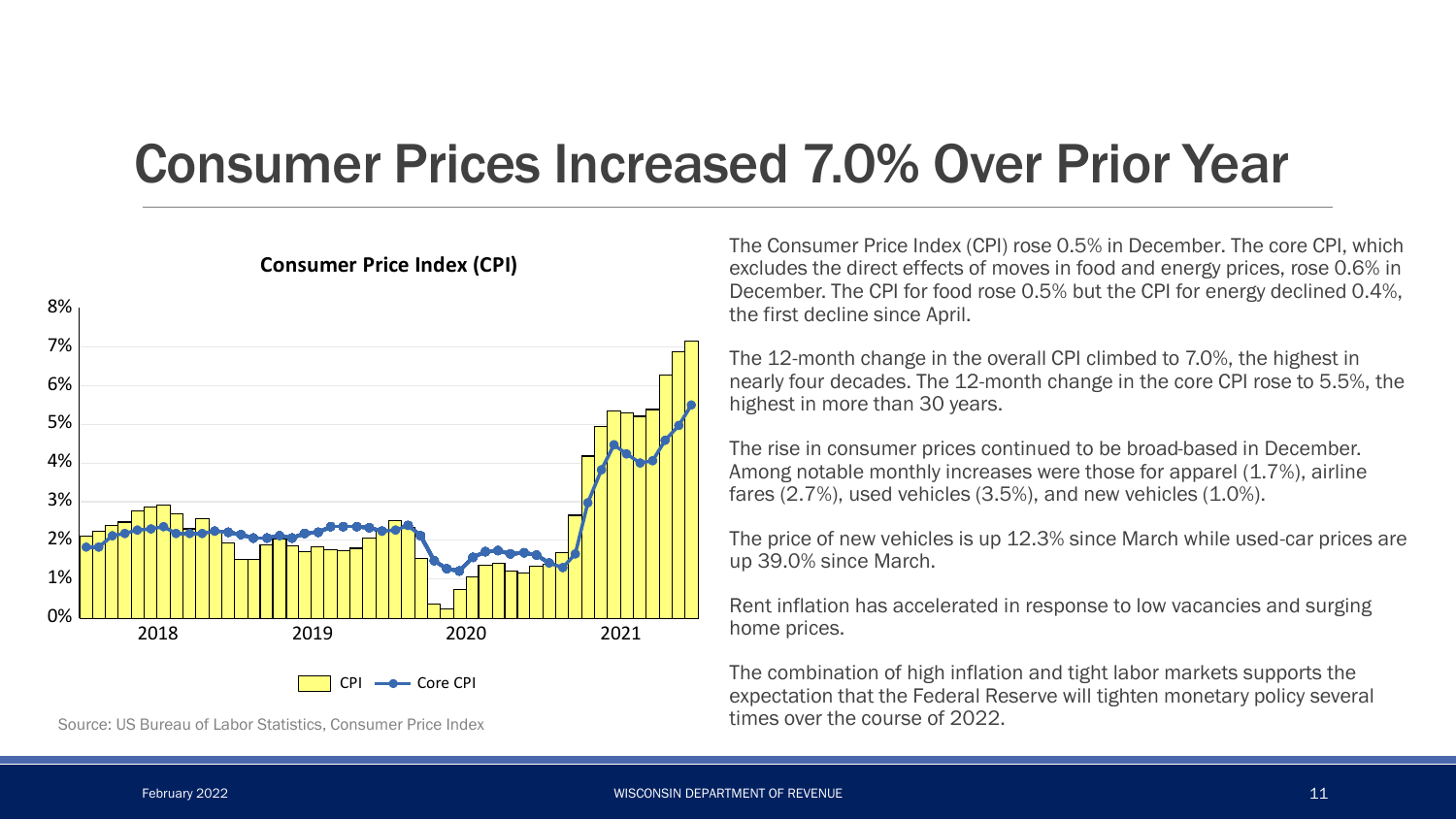#### Consumer Prices Increased 7.0% Over Prior Year



**Consumer Price Index (CPI)**

Source: US Bureau of Labor Statistics, Consumer Price Index

The Consumer Price Index (CPI) rose 0.5% in December. The core CPI, which excludes the direct effects of moves in food and energy prices, rose 0.6% in December. The CPI for food rose 0.5% but the CPI for energy declined 0.4%, the first decline since April.

The 12-month change in the overall CPI climbed to 7.0%, the highest in nearly four decades. The 12-month change in the core CPI rose to 5.5%, the highest in more than 30 years.

The rise in consumer prices continued to be broad-based in December. Among notable monthly increases were those for apparel (1.7%), airline fares (2.7%), used vehicles (3.5%), and new vehicles (1.0%).

The price of new vehicles is up 12.3% since March while used-car prices are up 39.0% since March.

Rent inflation has accelerated in response to low vacancies and surging home prices.

The combination of high inflation and tight labor markets supports the expectation that the Federal Reserve will tighten monetary policy several times over the course of 2022.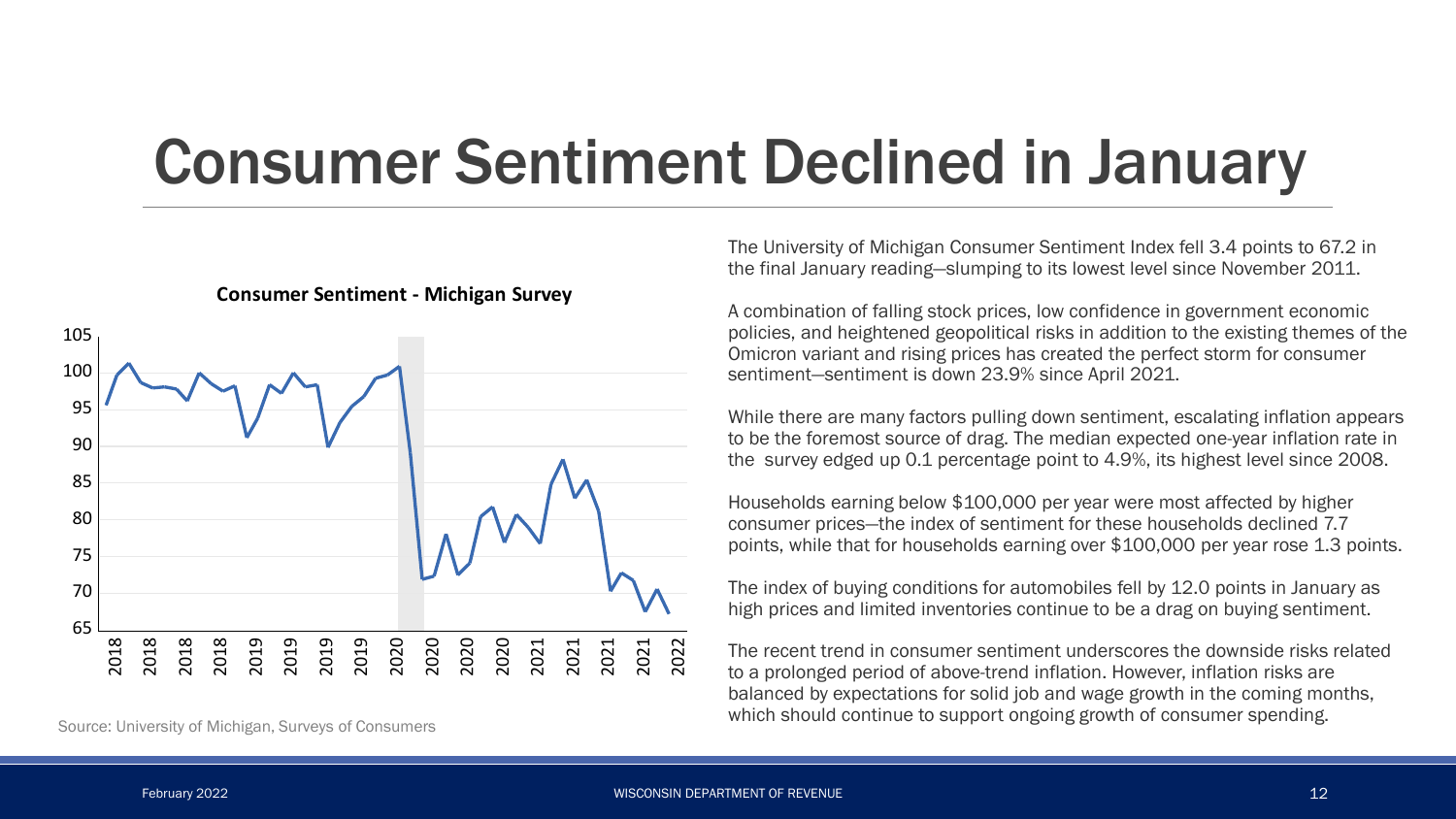## Consumer Sentiment Declined in January



**Consumer Sentiment - Michigan Survey**

Source: University of Michigan, Surveys of Consumers

The University of Michigan Consumer Sentiment Index fell 3.4 points to 67.2 in the final January reading—slumping to its lowest level since November 2011.

A combination of falling stock prices, low confidence in government economic policies, and heightened geopolitical risks in addition to the existing themes of the Omicron variant and rising prices has created the perfect storm for consumer sentiment—sentiment is down 23.9% since April 2021.

While there are many factors pulling down sentiment, escalating inflation appears to be the foremost source of drag. The median expected one-year inflation rate in the survey edged up 0.1 percentage point to 4.9%, its highest level since 2008.

Households earning below \$100,000 per year were most affected by higher consumer prices—the index of sentiment for these households declined 7.7 points, while that for households earning over \$100,000 per year rose 1.3 points.

The index of buying conditions for automobiles fell by 12.0 points in January as high prices and limited inventories continue to be a drag on buying sentiment.

The recent trend in consumer sentiment underscores the downside risks related to a prolonged period of above-trend inflation. However, inflation risks are balanced by expectations for solid job and wage growth in the coming months, which should continue to support ongoing growth of consumer spending.